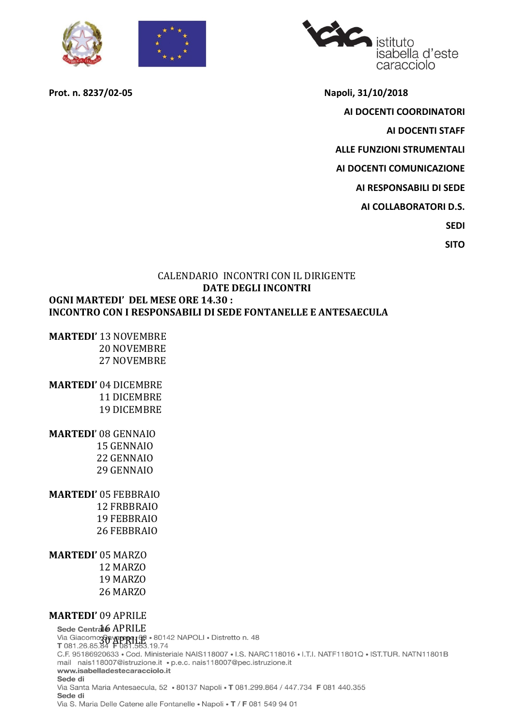







**AI DOCENTI COORDINATORI**

**AI DOCENTI STAFF**

**ALLE FUNZIONI STRUMENTALI**

**AI DOCENTI COMUNICAZIONE**

**AI RESPONSABILI DI SEDE**

**AI COLLABORATORI D.S.**

**SEDI**

**SITO**

### CALENDARIO INCONTRI CON IL DIRIGENTE **DATE DEGLI INCONTRI OGNI MARTEDI' DEL MESE ORE 14.30 : INCONTRO CON I RESPONSABILI DI SEDE FONTANELLE E ANTESAECULA**

**MARTEDI'** 13 NOVEMBRE 20 NOVEMBRE 27 NOVEMBRE

**MARTEDI'** 04 DICEMBRE 11 DICEMBRE 19 DICEMBRE

# **MARTEDI**' 08 GENNAIO

 15 GENNAIO 22 GENNAIO 29 GENNAIO

**MARTEDI'** 05 FEBBRAIO 12 FRBBRAIO 19 FEBBRAIO 26 FEBBRAIO

**MARTEDI'** 05 MARZO

 12 MARZO 19 MARZO 26 MARZO

### **MARTEDI'** 09 APRILE

Sede Central 6 APRILE Via Giacomo Gavernario - 80142 NAPOLI - Distretto n. 48<br>T 081.26.85.84 F 081.563.19.74 C.F. 95186920633 • Cod. Ministeriale NAIS118007 • I.S. NARC118016 • I.T.I. NATF11801Q • IST.TUR. NATN11801B mail nais118007@istruzione.it • p.e.c. nais118007@pec.istruzione.it www.isabelladestecaracciolo.it Sede di Via Santa Maria Antesaecula, 52 · 80137 Napoli · T 081.299.864 / 447.734 F 081 440.355 Sede di Via S. Maria Delle Catene alle Fontanelle . Napoli . T / F 081 549 94 01